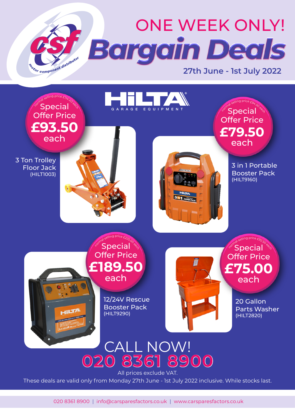